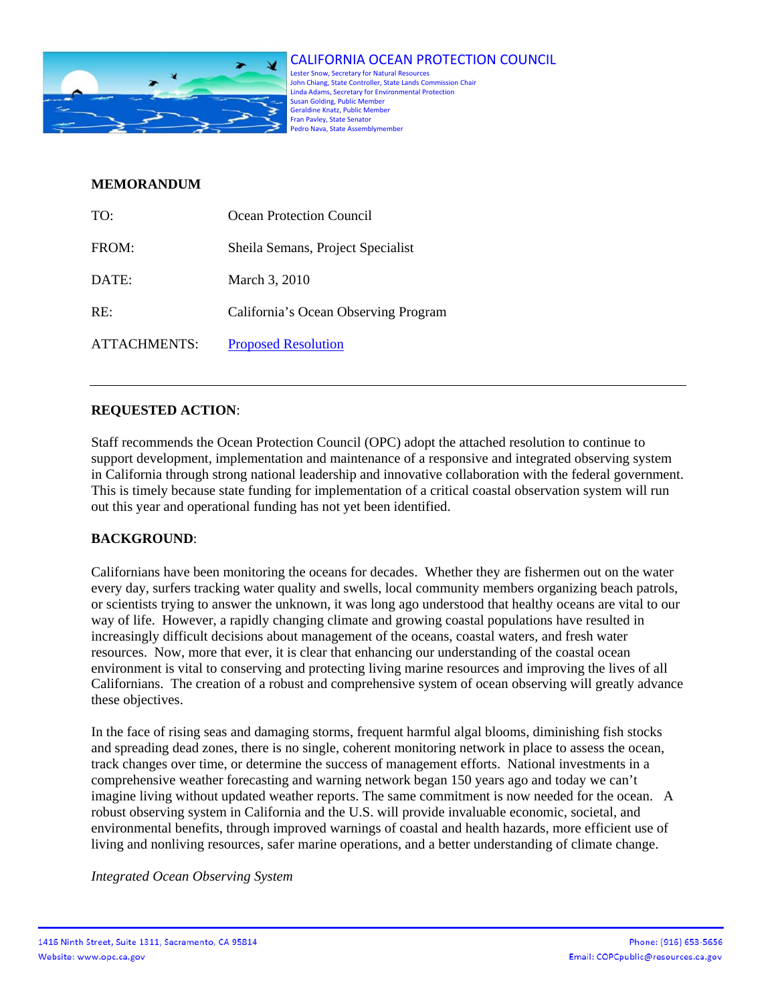

CALIFORNIA OCEAN PROTECTION COUNCIL Lester Snow, Secretary for Natural Resources John Chiang, State Controller, State Lands Commission Chair Linda Adams, Secretary for Environmental Protection Susan Golding, Public Member Geraldine Knatz, Public Member Fran Pavley, State Senator Pedro Nava, State Assemblymember

### **MEMORANDUM**

| TO:          | Ocean Protection Council             |
|--------------|--------------------------------------|
| FROM:        | Sheila Semans, Project Specialist    |
| DATE:        | March 3, 2010                        |
| RE:          | California's Ocean Observing Program |
| ATTACHMENTS: | <b>Proposed Resolution</b>           |

# **REQUESTED ACTION**:

Staff recommends the Ocean Protection Council (OPC) adopt the attached resolution to continue to support development, implementation and maintenance of a responsive and integrated observing system in California through strong national leadership and innovative collaboration with the federal government. This is timely because state funding for implementation of a critical coastal observation system will run out this year and operational funding has not yet been identified.

#### **BACKGROUND**:

Californians have been monitoring the oceans for decades. Whether they are fishermen out on the water every day, surfers tracking water quality and swells, local community members organizing beach patrols, or scientists trying to answer the unknown, it was long ago understood that healthy oceans are vital to our way of life. However, a rapidly changing climate and growing coastal populations have resulted in increasingly difficult decisions about management of the oceans, coastal waters, and fresh water resources. Now, more that ever, it is clear that enhancing our understanding of the coastal ocean environment is vital to conserving and protecting living marine resources and improving the lives of all Californians. The creation of a robust and comprehensive system of ocean observing will greatly advance these objectives.

In the face of rising seas and damaging storms, frequent harmful algal blooms, diminishing fish stocks and spreading dead zones, there is no single, coherent monitoring network in place to assess the ocean, track changes over time, or determine the success of management efforts. National investments in a comprehensive weather forecasting and warning network began 150 years ago and today we can't imagine living without updated weather reports. The same commitment is now needed for the ocean. A robust observing system in California and the U.S. will provide invaluable economic, societal, and environmental benefits, through improved warnings of coastal and health hazards, more efficient use of living and nonliving resources, safer marine operations, and a better understanding of climate change.

*Integrated Ocean Observing System*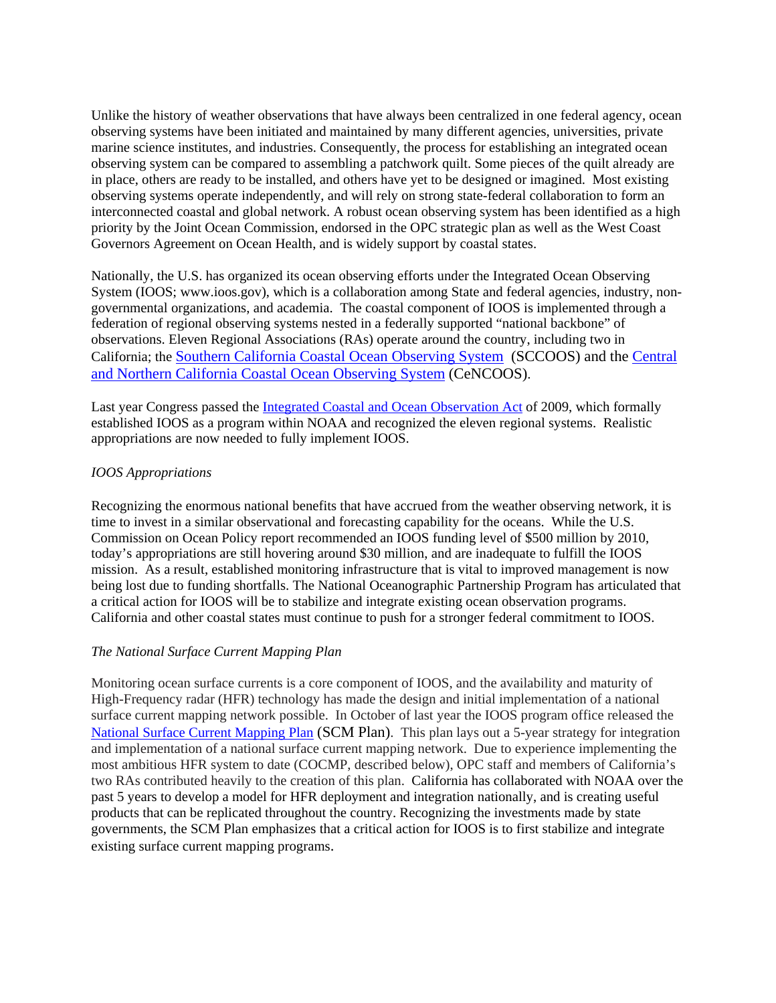Unlike the history of weather observations that have always been centralized in one federal agency, ocean observing systems have been initiated and maintained by many different agencies, universities, private marine science institutes, and industries. Consequently, the process for establishing an integrated ocean observing system can be compared to assembling a patchwork quilt. Some pieces of the quilt already are in place, others are ready to be installed, and others have yet to be designed or imagined. Most existing observing systems operate independently, and will rely on strong state-federal collaboration to form an interconnected coastal and global network. A robust ocean observing system has been identified as a high priority by the Joint Ocean Commission, endorsed in the OPC strategic plan as well as the West Coast Governors Agreement on Ocean Health, and is widely support by coastal states.

Nationally, the U.S. has organized its ocean observing efforts under the Integrated Ocean Observing System (IOOS; www.ioos.gov), which is a collaboration among State and federal agencies, industry, nongovernmental organizations, and academia. The coastal component of IOOS is implemented through a federation of regional observing systems nested in a federally supported "national backbone" of observations. Eleven Regional Associations (RAs) operate around the country, including two in California; the Southern California Coastal Ocean Observing System (SCCOOS) and the Central and Northern California Coastal Ocean Observing System (CeNCOOS).

Last year Congress passed the Integrated Coastal and Ocean Observation Act of 2009, which formally established IOOS as a program within NOAA and recognized the eleven regional systems. Realistic appropriations are now needed to fully implement IOOS.

#### *IOOS Appropriations*

Recognizing the enormous national benefits that have accrued from the weather observing network, it is time to invest in a similar observational and forecasting capability for the oceans. While the U.S. Commission on Ocean Policy report recommended an IOOS funding level of \$500 million by 2010, today's appropriations are still hovering around \$30 million, and are inadequate to fulfill the IOOS mission. As a result, established monitoring infrastructure that is vital to improved management is now being lost due to funding shortfalls. The National Oceanographic Partnership Program has articulated that a critical action for IOOS will be to stabilize and integrate existing ocean observation programs. California and other coastal states must continue to push for a stronger federal commitment to IOOS.

#### *The National Surface Current Mapping Plan*

Monitoring ocean surface currents is a core component of IOOS, and the availability and maturity of High-Frequency radar (HFR) technology has made the design and initial implementation of a national surface current mapping network possible. In October of last year the IOOS program office released the National Surface Current Mapping Plan (SCM Plan). This plan lays out a 5-year strategy for integration and implementation of a national surface current mapping network. Due to experience implementing the most ambitious HFR system to date (COCMP, described below), OPC staff and members of California's two RAs contributed heavily to the creation of this plan. California has collaborated with NOAA over the past 5 years to develop a model for HFR deployment and integration nationally, and is creating useful products that can be replicated throughout the country. Recognizing the investments made by state governments, the SCM Plan emphasizes that a critical action for IOOS is to first stabilize and integrate existing surface current mapping programs.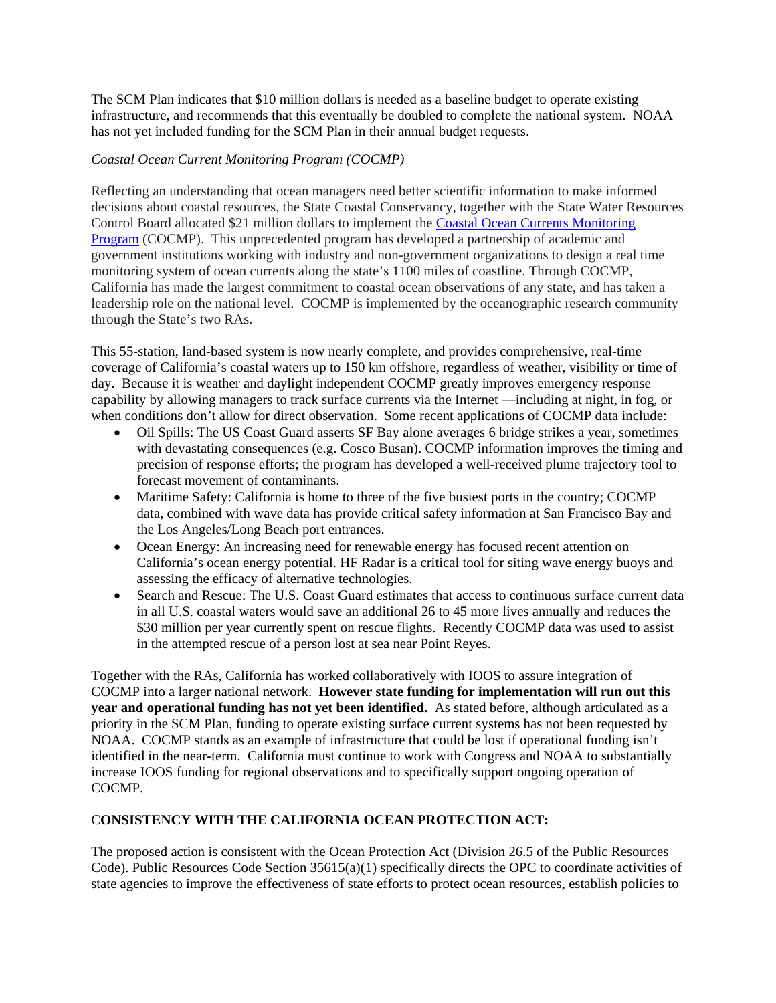The SCM Plan indicates that \$10 million dollars is needed as a baseline budget to operate existing infrastructure, and recommends that this eventually be doubled to complete the national system. NOAA has not yet included funding for the SCM Plan in their annual budget requests.

### *Coastal Ocean Current Monitoring Program (COCMP)*

Reflecting an understanding that ocean managers need better scientific information to make informed decisions about coastal resources, the State Coastal Conservancy, together with the State Water Resources Control Board allocated \$21 million dollars to implement the Coastal Ocean Currents Monitoring Program (COCMP). This unprecedented program has developed a partnership of academic and government institutions working with industry and non-government organizations to design a real time monitoring system of ocean currents along the state's 1100 miles of coastline. Through COCMP, California has made the largest commitment to coastal ocean observations of any state, and has taken a leadership role on the national level. COCMP is implemented by the oceanographic research community through the State's two RAs.

This 55-station, land-based system is now nearly complete, and provides comprehensive, real-time coverage of California's coastal waters up to 150 km offshore, regardless of weather, visibility or time of day. Because it is weather and daylight independent COCMP greatly improves emergency response capability by allowing managers to track surface currents via the Internet —including at night, in fog, or when conditions don't allow for direct observation. Some recent applications of COCMP data include:

- Oil Spills: The US Coast Guard asserts SF Bay alone averages 6 bridge strikes a year, sometimes with devastating consequences (e.g. Cosco Busan). COCMP information improves the timing and precision of response efforts; the program has developed a well-received plume trajectory tool to forecast movement of contaminants.
- Maritime Safety: California is home to three of the five busiest ports in the country; COCMP data, combined with wave data has provide critical safety information at San Francisco Bay and the Los Angeles/Long Beach port entrances.
- Ocean Energy: An increasing need for renewable energy has focused recent attention on California's ocean energy potential. HF Radar is a critical tool for siting wave energy buoys and assessing the efficacy of alternative technologies.
- Search and Rescue: The U.S. Coast Guard estimates that access to continuous surface current data in all U.S. coastal waters would save an additional 26 to 45 more lives annually and reduces the \$30 million per year currently spent on rescue flights. Recently COCMP data was used to assist in the attempted rescue of a person lost at sea near Point Reyes.

Together with the RAs, California has worked collaboratively with IOOS to assure integration of COCMP into a larger national network. **However state funding for implementation will run out this year and operational funding has not yet been identified.** As stated before, although articulated as a priority in the SCM Plan, funding to operate existing surface current systems has not been requested by NOAA. COCMP stands as an example of infrastructure that could be lost if operational funding isn't identified in the near-term. California must continue to work with Congress and NOAA to substantially increase IOOS funding for regional observations and to specifically support ongoing operation of COCMP.

# C**ONSISTENCY WITH THE CALIFORNIA OCEAN PROTECTION ACT:**

The proposed action is consistent with the Ocean Protection Act (Division 26.5 of the Public Resources Code). Public Resources Code Section  $35615(a)(1)$  specifically directs the OPC to coordinate activities of state agencies to improve the effectiveness of state efforts to protect ocean resources, establish policies to